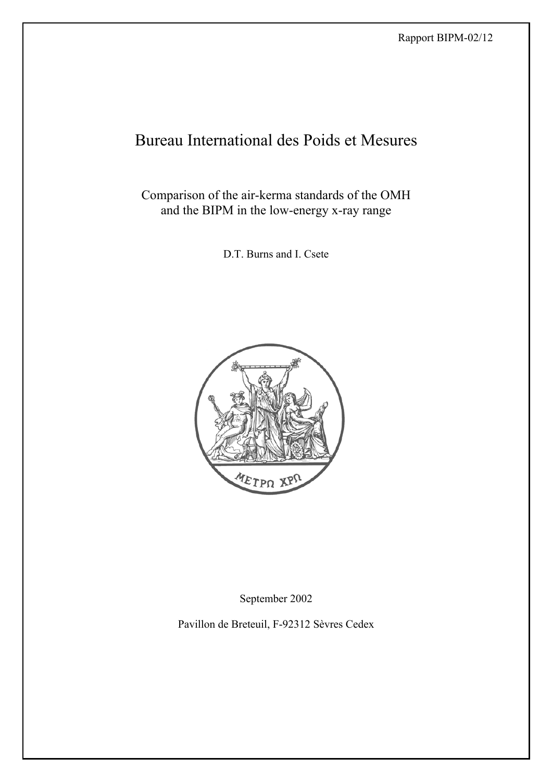# Bureau International des Poids et Mesures

Comparison of the air-kerma standards of the OMH and the BIPM in the low-energy x-ray range

D.T. Burns and I. Csete



September 2002

Pavillon de Breteuil, F-92312 Sèvres Cedex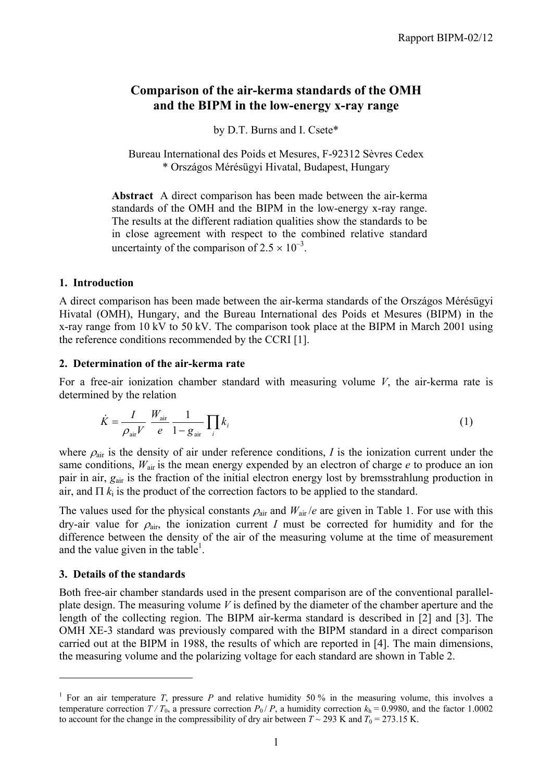## **Comparison of the air-kerma standards of the OMH and the BIPM in the low-energy x-ray range**

by D.T. Burns and I. Csete\*

Bureau International des Poids et Mesures, F-92312 Sèvres Cedex \* Országos Mérésügyi Hivatal, Budapest, Hungary

**Abstract** A direct comparison has been made between the air-kerma standards of the OMH and the BIPM in the low-energy x-ray range. The results at the different radiation qualities show the standards to be in close agreement with respect to the combined relative standard uncertainty of the comparison of  $2.5 \times 10^{-3}$ .

#### **1. Introduction**

A direct comparison has been made between the air-kerma standards of the Országos Mérésügyi Hivatal (OMH), Hungary, and the Bureau International des Poids et Mesures (BIPM) in the x-ray range from 10 kV to 50 kV. The comparison took place at the BIPM in March 2001 using the reference conditions recommended by the CCRI [1].

#### **2. Determination of the air-kerma rate**

For a free-air ionization chamber standard with measuring volume *V*, the air-kerma rate is determined by the relation

$$
\dot{K} = \frac{I}{\rho_{\text{air}} V} \frac{W_{\text{air}}}{e} \frac{1}{1 - g_{\text{air}}} \prod_{i} k_{i}
$$
 (1)

where  $\rho_{\text{air}}$  is the density of air under reference conditions, *I* is the ionization current under the same conditions,  $W_{air}$  is the mean energy expended by an electron of charge *e* to produce an ion pair in air, *g*air is the fraction of the initial electron energy lost by bremsstrahlung production in air, and  $\Pi$   $k_i$  is the product of the correction factors to be applied to the standard.

The values used for the physical constants  $\rho_{air}$  and  $W_{air}/e$  are given in Table 1. For use with this dry-air value for  $\rho_{air}$ , the ionization current *I* must be corrected for humidity and for the difference between the density of the air of the measuring volume at the time of measurement and the value given in the table<sup>1</sup>.

#### **3. Details of the standards**

 $\overline{a}$ 

Both free-air chamber standards used in the present comparison are of the conventional parallelplate design. The measuring volume *V* is defined by the diameter of the chamber aperture and the length of the collecting region. The BIPM air-kerma standard is described in [2] and [3]. The OMH XE-3 standard was previously compared with the BIPM standard in a direct comparison carried out at the BIPM in 1988, the results of which are reported in [4]. The main dimensions, the measuring volume and the polarizing voltage for each standard are shown in Table 2.

<sup>&</sup>lt;sup>1</sup> For an air temperature *T*, pressure *P* and relative humidity 50 % in the measuring volume, this involves a temperature correction  $T/T_0$ , a pressure correction  $P_0/P$ , a humidity correction  $k_h = 0.9980$ , and the factor 1.0002 to account for the change in the compressibility of dry air between  $T \sim 293$  K and  $T_0 = 273.15$  K.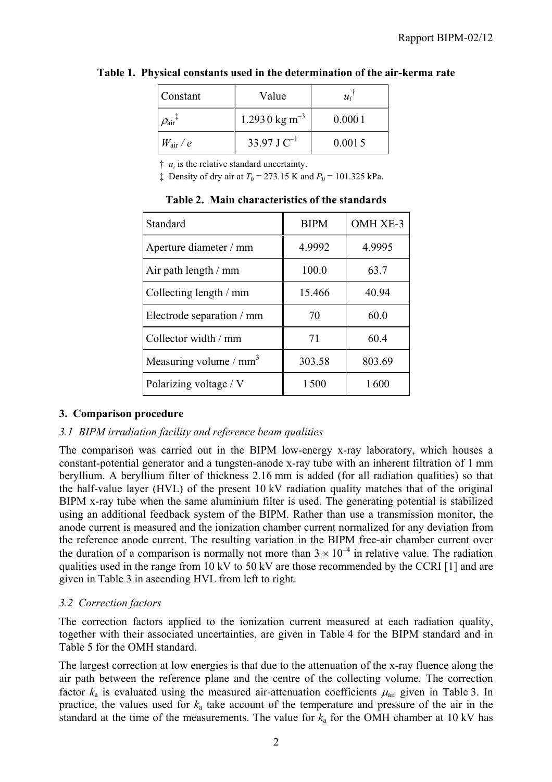| Constant                                            | Value                     | $u_i$  |
|-----------------------------------------------------|---------------------------|--------|
| $\mathit{O}_{\textrm{air}}{}^{\textrm{\textrm{+}}}$ | 1.2930 kg m <sup>-3</sup> | 0.0001 |
| $W_{\rm air}/e$                                     | 33.97 J $C^{-1}$          | 0.0015 |

## **Table 1. Physical constants used in the determination of the air-kerma rate**

 $\dot{\tau}$  *u<sub>i</sub>* is the relative standard uncertainty.

 $\ddagger$  Density of dry air at  $T_0 = 273.15$  K and  $P_0 = 101.325$  kPa.

| Standard                           | <b>BIPM</b> | OMH XE-3 |
|------------------------------------|-------------|----------|
| Aperture diameter / mm             | 4.9992      | 4.9995   |
| Air path length / mm               | 100.0       | 63.7     |
| Collecting length / mm             | 15.466      | 40.94    |
| Electrode separation / mm          | 70          | 60.0     |
| Collector width / mm               | 71          | 60.4     |
| Measuring volume / mm <sup>3</sup> | 303.58      | 803.69   |
| Polarizing voltage / V             | 1500        | 1600     |

**Table 2. Main characteristics of the standards**

# **3. Comparison procedure**

## *3.1 BIPM irradiation facility and reference beam qualities*

The comparison was carried out in the BIPM low-energy x-ray laboratory, which houses a constant-potential generator and a tungsten-anode x-ray tube with an inherent filtration of 1 mm beryllium. A beryllium filter of thickness 2.16 mm is added (for all radiation qualities) so that the half-value layer (HVL) of the present 10 kV radiation quality matches that of the original BIPM x-ray tube when the same aluminium filter is used. The generating potential is stabilized using an additional feedback system of the BIPM. Rather than use a transmission monitor, the anode current is measured and the ionization chamber current normalized for any deviation from the reference anode current. The resulting variation in the BIPM free-air chamber current over the duration of a comparison is normally not more than  $3 \times 10^{-4}$  in relative value. The radiation qualities used in the range from 10 kV to 50 kV are those recommended by the CCRI [1] and are given in Table 3 in ascending HVL from left to right.

# *3.2 Correction factors*

The correction factors applied to the ionization current measured at each radiation quality, together with their associated uncertainties, are given in Table 4 for the BIPM standard and in Table 5 for the OMH standard.

The largest correction at low energies is that due to the attenuation of the x-ray fluence along the air path between the reference plane and the centre of the collecting volume. The correction factor  $k_a$  is evaluated using the measured air-attenuation coefficients  $\mu_{air}$  given in Table 3. In practice, the values used for *k*a take account of the temperature and pressure of the air in the standard at the time of the measurements. The value for  $k_a$  for the OMH chamber at 10 kV has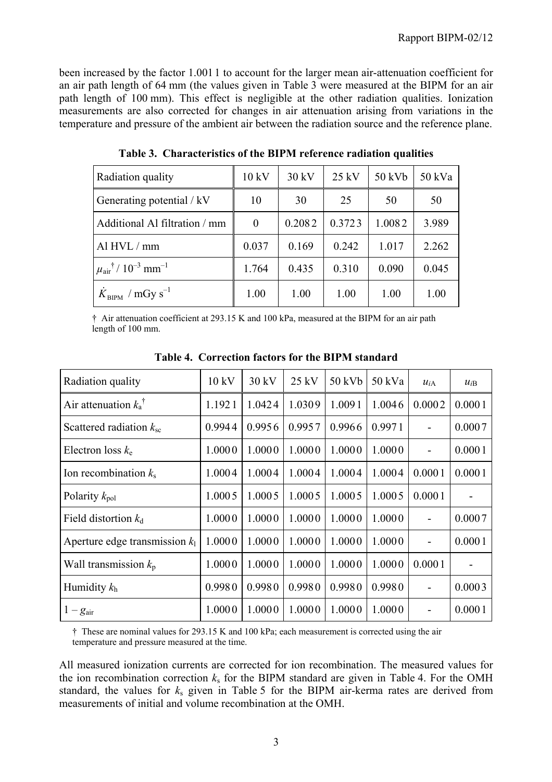been increased by the factor 1.001 1 to account for the larger mean air-attenuation coefficient for an air path length of 64 mm (the values given in Table 3 were measured at the BIPM for an air path length of 100 mm). This effect is negligible at the other radiation qualities. Ionization measurements are also corrected for changes in air attenuation arising from variations in the temperature and pressure of the ambient air between the radiation source and the reference plane.

| Radiation quality                                         | 10 kV    | 30 kV  | $25$ kV | 50 kVb | 50 kVa |
|-----------------------------------------------------------|----------|--------|---------|--------|--------|
| Generating potential / kV                                 | 10       | 30     | 25      | 50     | 50     |
| Additional Al filtration / mm                             | $\Omega$ | 0.2082 | 0.3723  | 1.0082 | 3.989  |
| Al HVL / mm                                               | 0.037    | 0.169  | 0.242   | 1.017  | 2.262  |
| $\mu_{\text{air}}^{\dagger}$ / $10^{-3}$ mm <sup>-1</sup> | 1.764    | 0.435  | 0.310   | 0.090  | 0.045  |
| $K_{\text{BIPM}}$ / mGy s <sup>-1</sup>                   | 1.00     | 1.00   | 1.00    | 1.00   | 1.00   |

**Table 3. Characteristics of the BIPM reference radiation qualities**

† Air attenuation coefficient at 293.15 K and 100 kPa, measured at the BIPM for an air path length of 100 mm.

| Radiation quality                | 10 kV  | 30 kV  | $25$ kV | 50 kVb | 50 kVa | $u_{iA}$ | $u_{iB}$ |
|----------------------------------|--------|--------|---------|--------|--------|----------|----------|
| Air attenuation $k_a^{\dagger}$  | 1.1921 | 1.0424 | 1.0309  | 1.0091 | 1.0046 | 0.0002   | 0.0001   |
| Scattered radiation $k_{\rm sc}$ | 0.9944 | 0.9956 | 0.9957  | 0.9966 | 0.9971 |          | 0.0007   |
| Electron loss $k_e$              | 1.0000 | 1.0000 | 1.0000  | 1.0000 | 1.0000 |          | 0.0001   |
| Ion recombination $k_s$          | 1.0004 | 1.0004 | 1.0004  | 1.0004 | 1.0004 | 0.0001   | 0.0001   |
| Polarity $k_{pol}$               | 1.0005 | 1.0005 | 1.0005  | 1.0005 | 1.0005 | 0.0001   |          |
| Field distortion $k_d$           | 1.0000 | 1.0000 | 1.0000  | 1.0000 | 1.0000 |          | 0.0007   |
| Aperture edge transmission $k_1$ | 1.0000 | 1.0000 | 1.0000  | 1.0000 | 1.0000 |          | 0.0001   |
| Wall transmission $k_p$          | 1.0000 | 1.0000 | 1.0000  | 1.0000 | 1.0000 | 0.0001   |          |
| Humidity $k_h$                   | 0.9980 | 0.9980 | 0.9980  | 0.9980 | 0.9980 |          | 0.0003   |
| $1-g_{\text{air}}$               | 1.0000 | 1.0000 | 1.0000  | 1.0000 | 1.0000 |          | 0.0001   |

**Table 4. Correction factors for the BIPM standard**

† These are nominal values for 293.15 K and 100 kPa; each measurement is corrected using the air temperature and pressure measured at the time.

All measured ionization currents are corrected for ion recombination. The measured values for the ion recombination correction  $k<sub>s</sub>$  for the BIPM standard are given in Table 4. For the OMH standard, the values for *k*s given in Table 5 for the BIPM air-kerma rates are derived from measurements of initial and volume recombination at the OMH.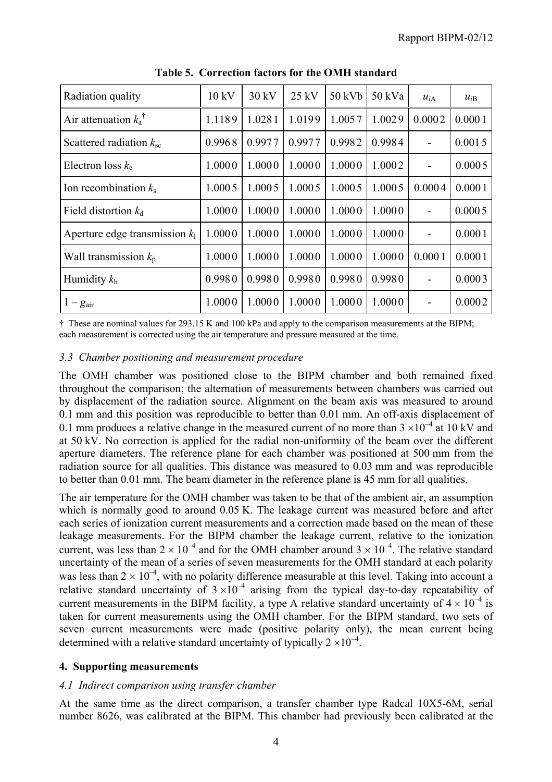| Radiation quality                | 10 kV  | 30 kV  | $25$ kV | 50 kVb | 50 kVa | $u_{iA}$ | $u_{iB}$ |
|----------------------------------|--------|--------|---------|--------|--------|----------|----------|
| Air attenuation $k_a^{\dagger}$  | 1.1189 | 1.0281 | 1.0199  | 1.0057 | 1.0029 | 0.0002   | 0.0001   |
| Scattered radiation $k_{\rm sc}$ | 0.9968 | 0.9977 | 0.9977  | 0.9982 | 0.9984 |          | 0.0015   |
| Electron loss $k_e$              | 1.0000 | 1.0000 | 1.0000  | 1.0000 | 1.0002 |          | 0.0005   |
| Ion recombination $k_s$          | 1.0005 | 1.0005 | 1.0005  | 1.0005 | 1.0005 | 0.0004   | 0.0001   |
| Field distortion $k_d$           | 1.0000 | 1.0000 | 1.0000  | 1.0000 | 1.0000 |          | 0.0005   |
| Aperture edge transmission $k_1$ | 1.0000 | 1.0000 | 1.0000  | 1.0000 | 1.0000 |          | 0.0001   |
| Wall transmission $k_p$          | 1.0000 | 1.0000 | 1.0000  | 1.0000 | 1.0000 | 0.0001   | 0.0001   |
| Humidity $k_h$                   | 0.9980 | 0.9980 | 0.9980  | 0.9980 | 0.9980 |          | 0.0003   |
| $1-g_{\text{air}}$               | 1.0000 | 1.0000 | 1.0000  | 1.0000 | 1.0000 |          | 0.0002   |

**Table 5. Correction factors for the OMH standard**

† These are nominal values for 293.15 K and 100 kPa and apply to the comparison measurements at the BIPM; each measurement is corrected using the air temperature and pressure measured at the time.

#### *3.3 Chamber positioning and measurement procedure*

The OMH chamber was positioned close to the BIPM chamber and both remained fixed throughout the comparison; the alternation of measurements between chambers was carried out by displacement of the radiation source. Alignment on the beam axis was measured to around 0.1 mm and this position was reproducible to better than 0.01 mm. An off-axis displacement of 0.1 mm produces a relative change in the measured current of no more than  $3 \times 10^{-4}$  at 10 kV and at 50 kV. No correction is applied for the radial non-uniformity of the beam over the different aperture diameters. The reference plane for each chamber was positioned at 500 mm from the radiation source for all qualities. This distance was measured to 0.03 mm and was reproducible to better than 0.01 mm. The beam diameter in the reference plane is 45 mm for all qualities.

The air temperature for the OMH chamber was taken to be that of the ambient air, an assumption which is normally good to around 0.05 K. The leakage current was measured before and after each series of ionization current measurements and a correction made based on the mean of these leakage measurements. For the BIPM chamber the leakage current, relative to the ionization current, was less than  $2 \times 10^{-4}$  and for the OMH chamber around  $3 \times 10^{-4}$ . The relative standard uncertainty of the mean of a series of seven measurements for the OMH standard at each polarity was less than  $2 \times 10^{-4}$ , with no polarity difference measurable at this level. Taking into account a relative standard uncertainty of  $3 \times 10^{-4}$  arising from the typical day-to-day repeatability of current measurements in the BIPM facility, a type A relative standard uncertainty of  $4 \times 10^{-4}$  is taken for current measurements using the OMH chamber. For the BIPM standard, two sets of seven current measurements were made (positive polarity only), the mean current being determined with a relative standard uncertainty of typically  $2 \times 10^{-4}$ .

## **4. Supporting measurements**

## *4.1 Indirect comparison using transfer chamber*

At the same time as the direct comparison, a transfer chamber type Radcal 10X5-6M, serial number 8626, was calibrated at the BIPM. This chamber had previously been calibrated at the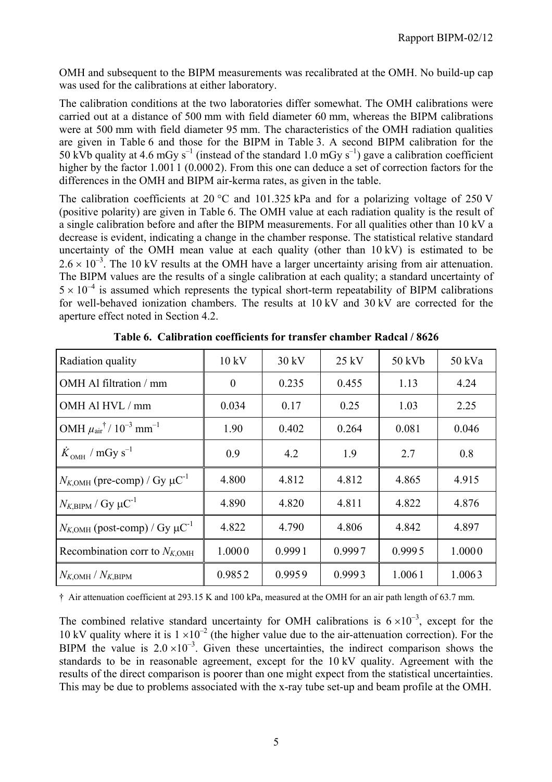OMH and subsequent to the BIPM measurements was recalibrated at the OMH. No build-up cap was used for the calibrations at either laboratory.

The calibration conditions at the two laboratories differ somewhat. The OMH calibrations were carried out at a distance of 500 mm with field diameter 60 mm, whereas the BIPM calibrations were at 500 mm with field diameter 95 mm. The characteristics of the OMH radiation qualities are given in Table 6 and those for the BIPM in Table 3. A second BIPM calibration for the 50 kVb quality at 4.6 mGy s<sup>-1</sup> (instead of the standard 1.0 mGy s<sup>-1</sup>) gave a calibration coefficient higher by the factor 1.001 1 (0.0002). From this one can deduce a set of correction factors for the differences in the OMH and BIPM air-kerma rates, as given in the table.

The calibration coefficients at 20 °C and 101.325 kPa and for a polarizing voltage of 250 V (positive polarity) are given in Table 6. The OMH value at each radiation quality is the result of a single calibration before and after the BIPM measurements. For all qualities other than 10 kV a decrease is evident, indicating a change in the chamber response. The statistical relative standard uncertainty of the OMH mean value at each quality (other than 10 kV) is estimated to be  $2.6 \times 10^{-3}$ . The 10 kV results at the OMH have a larger uncertainty arising from air attenuation. The BIPM values are the results of a single calibration at each quality; a standard uncertainty of  $5 \times 10^{-4}$  is assumed which represents the typical short-term repeatability of BIPM calibrations for well-behaved ionization chambers. The results at 10 kV and 30 kV are corrected for the aperture effect noted in Section 4.2.

| Radiation quality                                                         | 10 kV    | 30 kV  | $25$ kV | 50 kVb | 50 kVa |
|---------------------------------------------------------------------------|----------|--------|---------|--------|--------|
| OMH Al filtration / mm                                                    | $\theta$ | 0.235  | 0.455   | 1.13   | 4.24   |
| OMH Al HVL / mm                                                           | 0.034    | 0.17   | 0.25    | 1.03   | 2.25   |
| OMH $\mu$ <sub>air</sub> <sup>†</sup> / 10 <sup>-3</sup> mm <sup>-1</sup> | 1.90     | 0.402  | 0.264   | 0.081  | 0.046  |
| $\dot{K}_{OMH}$ / mGy s <sup>-1</sup>                                     | 0.9      | 4.2    | 1.9     | 2.7    | 0.8    |
| $N_{K,\text{OMH}}$ (pre-comp) / Gy $\mu\text{C}^{-1}$                     | 4.800    | 4.812  | 4.812   | 4.865  | 4.915  |
| $N_{K,\text{BIPM}}$ / Gy $\mu\text{C}^{-1}$                               | 4.890    | 4.820  | 4.811   | 4.822  | 4.876  |
| $N_{K,OMH}$ (post-comp) / Gy $\mu$ C <sup>-1</sup>                        | 4.822    | 4.790  | 4.806   | 4.842  | 4.897  |
| Recombination corr to $N_{K,\text{OMH}}$                                  | 1.0000   | 0.9991 | 0.9997  | 0.9995 | 1.0000 |
| $N_{K,\text{OMH}}/N_{K,\text{BIPM}}$                                      | 0.9852   | 0.9959 | 0.9993  | 1.0061 | 1.0063 |

**Table 6. Calibration coefficients for transfer chamber Radcal / 8626**

† Air attenuation coefficient at 293.15 K and 100 kPa, measured at the OMH for an air path length of 63.7 mm.

The combined relative standard uncertainty for OMH calibrations is  $6 \times 10^{-3}$ , except for the 10 kV quality where it is  $1 \times 10^{-2}$  (the higher value due to the air-attenuation correction). For the BIPM the value is  $2.0 \times 10^{-3}$ . Given these uncertainties, the indirect comparison shows the standards to be in reasonable agreement, except for the 10 kV quality. Agreement with the results of the direct comparison is poorer than one might expect from the statistical uncertainties. This may be due to problems associated with the x-ray tube set-up and beam profile at the OMH.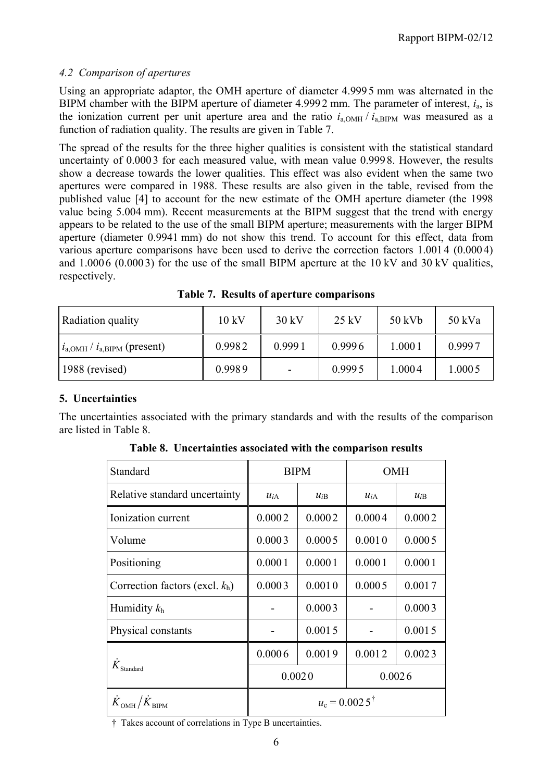## *4.2 Comparison of apertures*

Using an appropriate adaptor, the OMH aperture of diameter 4.999 5 mm was alternated in the BIPM chamber with the BIPM aperture of diameter 4.999 2 mm. The parameter of interest, *i*a, is the ionization current per unit aperture area and the ratio  $i_{a,OMH}/i_{a,BIPM}$  was measured as a function of radiation quality. The results are given in Table 7.

The spread of the results for the three higher qualities is consistent with the statistical standard uncertainty of 0.000 3 for each measured value, with mean value 0.999 8. However, the results show a decrease towards the lower qualities. This effect was also evident when the same two apertures were compared in 1988. These results are also given in the table, revised from the published value [4] to account for the new estimate of the OMH aperture diameter (the 1998 value being 5.004 mm). Recent measurements at the BIPM suggest that the trend with energy appears to be related to the use of the small BIPM aperture; measurements with the larger BIPM aperture (diameter 0.9941 mm) do not show this trend. To account for this effect, data from various aperture comparisons have been used to derive the correction factors 1.001 4 (0.000 4) and  $1.0006(0.0003)$  for the use of the small BIPM aperture at the 10 kV and 30 kV qualities, respectively.

| Radiation quality                              | $10 \text{ kV}$ | $30 \text{ kV}$          | 25 kV  | 50 kVb | 50 kVa |
|------------------------------------------------|-----------------|--------------------------|--------|--------|--------|
| $i_{a,\text{OMH}}/i_{a,\text{BIPM}}$ (present) | 0.9982          | 0.9991                   | 0.9996 | 1.0001 | 0.9997 |
| $1988$ (revised)                               | 0.9989          | $\overline{\phantom{a}}$ | 0.9995 | 1.0004 | 1.0005 |

**Table 7. Results of aperture comparisons**

# **5. Uncertainties**

The uncertainties associated with the primary standards and with the results of the comparison are listed in Table 8.

| Standard                                            |                          | <b>BIPM</b> | <b>OMH</b> |          |  |  |
|-----------------------------------------------------|--------------------------|-------------|------------|----------|--|--|
| Relative standard uncertainty                       | $u_{iA}$                 | $u_{iB}$    | $u_{iA}$   | $u_{iB}$ |  |  |
| Ionization current                                  | 0.0002                   | 0.0002      | 0.0004     | 0.0002   |  |  |
| Volume                                              | 0.0003                   | 0.0005      | 0.0010     | 0.0005   |  |  |
| Positioning                                         | 0.0001                   | 0.0001      | 0.0001     | 0.0001   |  |  |
| Correction factors (excl. $k_h$ )                   | 0.0003                   | 0.0010      | 0.0005     | 0.0017   |  |  |
| Humidity $k_h$                                      |                          | 0.0003      |            | 0.0003   |  |  |
| Physical constants                                  |                          | 0.0015      |            | 0.0015   |  |  |
|                                                     | 0.0006                   | 0.0019      | 0.0012     | 0.0023   |  |  |
| $\dot{K}_{\rm Standard}$                            | 0.0020<br>0.0026         |             |            |          |  |  |
| $\dot{K}_{\text{OMH}}/\dot{K}_{\text{\tiny{RIPM}}}$ | $u_c = 0.0025^{\dagger}$ |             |            |          |  |  |

**Table 8. Uncertainties associated with the comparison results**

† Takes account of correlations in Type B uncertainties.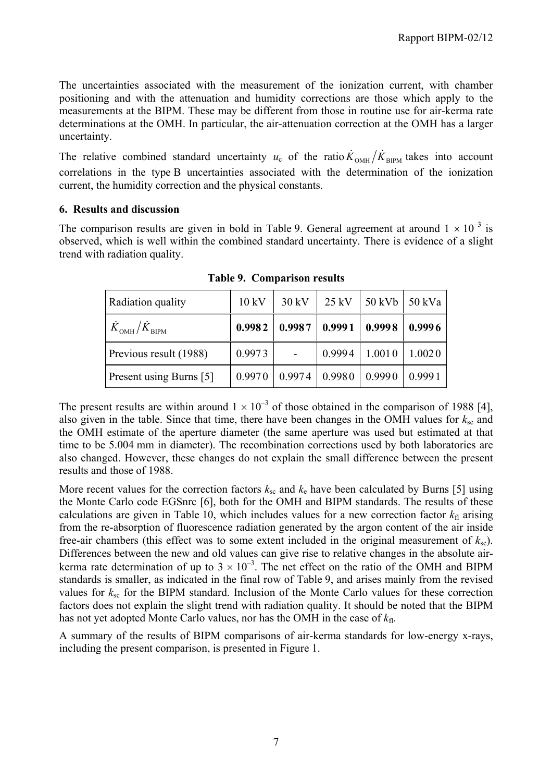The uncertainties associated with the measurement of the ionization current, with chamber positioning and with the attenuation and humidity corrections are those which apply to the measurements at the BIPM. These may be different from those in routine use for air-kerma rate determinations at the OMH. In particular, the air-attenuation correction at the OMH has a larger uncertainty.

The relative combined standard uncertainty  $u_c$  of the ratio  $\dot{K}_{OMH}/\dot{K}_{BIPM}$  takes into account correlations in the type B uncertainties associated with the determination of the ionization current, the humidity correction and the physical constants.

#### **6. Results and discussion**

The comparison results are given in bold in Table 9. General agreement at around  $1 \times 10^{-3}$  is observed, which is well within the combined standard uncertainty. There is evidence of a slight trend with radiation quality.

| Radiation quality                              | $10 \text{ kV}$ | $30 \text{ kV}$ | $25$ kV                          | 50 kVb   50 kVa |        |
|------------------------------------------------|-----------------|-----------------|----------------------------------|-----------------|--------|
| $\dot{K}_\mathrm{OMH} / \dot{K}_\mathrm{BIPM}$ | 0.9982          |                 | $0.9987 \mid 0.9991 \mid 0.9998$ |                 | 0.9996 |
| Previous result (1988)                         | 0.9973          |                 | 0.9994                           | 1.0010          | 1.0020 |
| <b>Present using Burns</b> [5]                 | 0.9970          |                 | $0.9974 \mid 0.9980$             | 0.9990          | 0.9991 |

**Table 9. Comparison results**

The present results are within around  $1 \times 10^{-3}$  of those obtained in the comparison of 1988 [4], also given in the table. Since that time, there have been changes in the OMH values for  $k_{\rm sc}$  and the OMH estimate of the aperture diameter (the same aperture was used but estimated at that time to be 5.004 mm in diameter). The recombination corrections used by both laboratories are also changed. However, these changes do not explain the small difference between the present results and those of 1988.

More recent values for the correction factors  $k_{\rm sc}$  and  $k_{\rm e}$  have been calculated by Burns [5] using the Monte Carlo code EGSnrc [6], both for the OMH and BIPM standards. The results of these calculations are given in Table 10, which includes values for a new correction factor  $k<sub>fl</sub>$  arising from the re-absorption of fluorescence radiation generated by the argon content of the air inside free-air chambers (this effect was to some extent included in the original measurement of  $k_{\rm sc}$ ). Differences between the new and old values can give rise to relative changes in the absolute airkerma rate determination of up to  $3 \times 10^{-3}$ . The net effect on the ratio of the OMH and BIPM standards is smaller, as indicated in the final row of Table 9, and arises mainly from the revised values for  $k_{\rm sc}$  for the BIPM standard. Inclusion of the Monte Carlo values for these correction factors does not explain the slight trend with radiation quality. It should be noted that the BIPM has not yet adopted Monte Carlo values, nor has the OMH in the case of  $k_{\text{fl}}$ .

A summary of the results of BIPM comparisons of air-kerma standards for low-energy x-rays, including the present comparison, is presented in Figure 1.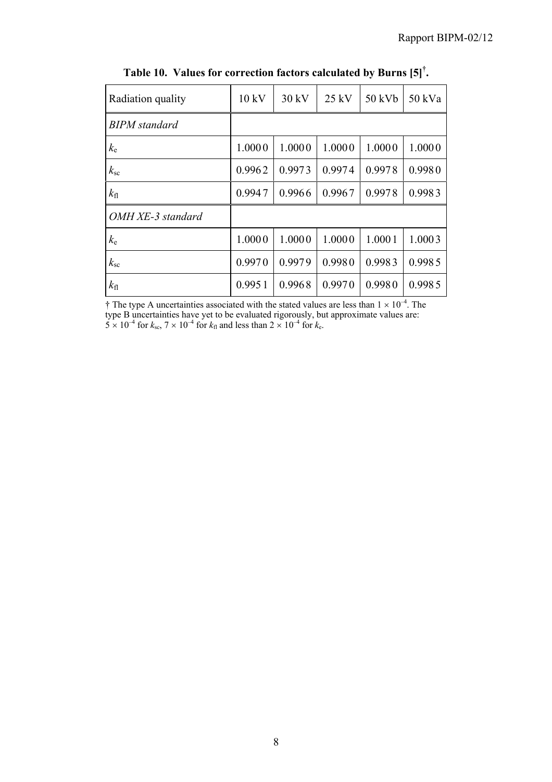| Radiation quality    | 10 kV  | 30 kV  | $25$ kV | 50 kVb | 50 kVa |
|----------------------|--------|--------|---------|--------|--------|
| <b>BIPM</b> standard |        |        |         |        |        |
| $k_{\rm e}$          | 1.0000 | 1.0000 | 1.0000  | 1.0000 | 1.0000 |
| $k_{\rm sc}$         | 0.9962 | 0.9973 | 0.9974  | 0.9978 | 0.9980 |
| $k_{\rm fl}$         | 0.9947 | 0.9966 | 0.9967  | 0.9978 | 0.9983 |
| OMH XE-3 standard    |        |        |         |        |        |
| $k_{\rm e}$          | 1.0000 | 1.0000 | 1.0000  | 1.0001 | 1.0003 |
| $k_{\rm sc}$         | 0.9970 | 0.9979 | 0.9980  | 0.9983 | 0.9985 |
| $k_{\rm fl}$         | 0.9951 | 0.9968 | 0.9970  | 0.9980 | 0.9985 |

**Table 10. Values for correction factors calculated by Burns [5]† .**

 $\dagger$  The type A uncertainties associated with the stated values are less than  $1 \times 10^{-4}$ . The type B uncertainties have yet to be evaluated rigorously, but approximate values are:  $5 \times 10^{-4}$  for  $k_{\text{sc}}$ ,  $7 \times 10^{-4}$  for  $k_{\text{fl}}$  and less than  $2 \times 10^{-4}$  for  $k_{\text{e}}$ .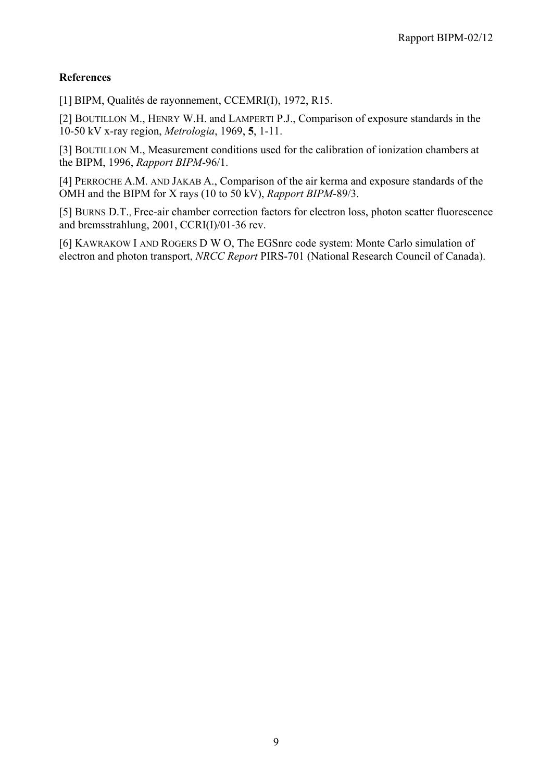## **References**

[1] BIPM, Qualités de rayonnement, CCEMRI(I), 1972, R15.

[2] BOUTILLON M., HENRY W.H. and LAMPERTI P.J., Comparison of exposure standards in the 10-50 kV x-ray region, *Metrologia*, 1969, **5**, 1-11.

[3] BOUTILLON M., Measurement conditions used for the calibration of ionization chambers at the BIPM, 1996, *Rapport BIPM*-96/1.

[4] PERROCHE A.M. AND JAKAB A., Comparison of the air kerma and exposure standards of the OMH and the BIPM for X rays (10 to 50 kV), *Rapport BIPM*-89/3.

[5] BURNS D.T., Free-air chamber correction factors for electron loss, photon scatter fluorescence and bremsstrahlung, 2001, CCRI(I)/01-36 rev.

[6] KAWRAKOW I AND ROGERS D W O, The EGSnrc code system: Monte Carlo simulation of electron and photon transport, *NRCC Report* PIRS-701 (National Research Council of Canada).